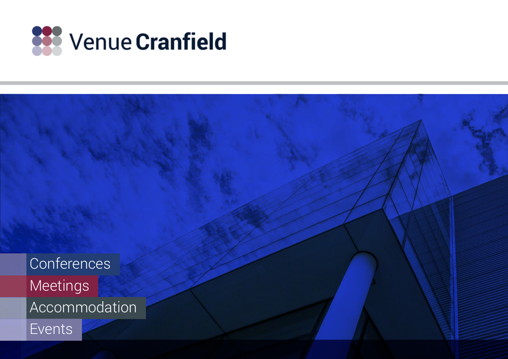

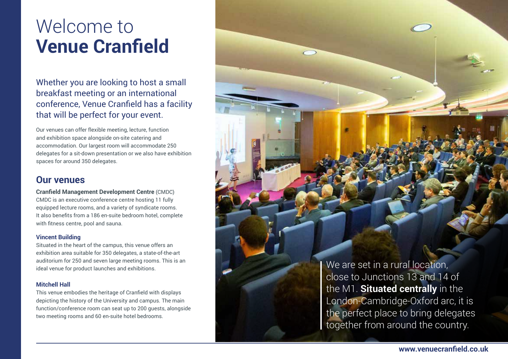## Welcome to **Venue Cranfield**

Whether you are looking to host a small breakfast meeting or an international conference, Venue Cranfield has a facility that will be perfect for your event.

Our venues can offer flexible meeting, lecture, function and exhibition space alongside on-site catering and accommodation. Our largest room will accommodate 250 delegates for a sit-down presentation or we also have exhibition spaces for around 350 delegates.

### **Our venues**

**Cranfield Management Development Centre** (CMDC) CMDC is an executive conference centre hosting 11 fully equipped lecture rooms, and a variety of syndicate rooms. It also benefits from a 186 en-suite bedroom hotel, complete with fitness centre, pool and sauna.

#### **Vincent Building**

Situated in the heart of the campus, this venue offers an exhibition area suitable for 350 delegates, a state-of-the-art auditorium for 250 and seven large meeting rooms. This is an ideal venue for product launches and exhibitions.

#### **Mitchell Hall**

This venue embodies the heritage of Cranfield with displays depicting the history of the University and campus. The main function/conference room can seat up to 200 guests, alongside two meeting rooms and 60 en-suite hotel bedrooms.

We are set in a rural location, close to Junctions 13 and 14 of the M1. **Situated centrally** in the London-Cambridge-Oxford arc, it is the perfect place to bring delegates together from around the country.

**www.venuecranfield.co.uk**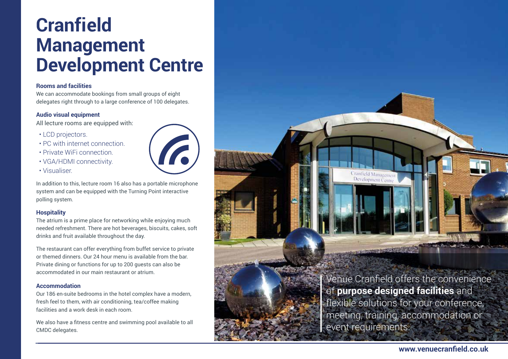## **Cranfield Management Development Centre**

#### **Rooms and facilities**

We can accommodate bookings from small groups of eight delegates right through to a large conference of 100 delegates.

#### **Audio visual equipment**

All lecture rooms are equipped with:

- LCD projectors.
- PC with internet connection.
- Private WiFi connection.
- VGA/HDMI connectivity.
- Visualiser.

In addition to this, lecture room 16 also has a portable microphone system and can be equipped with the Turning Point interactive polling system.

**G** 

#### **Hospitality**

The atrium is a prime place for networking while enjoying much needed refreshment. There are hot beverages, biscuits, cakes, soft drinks and fruit available throughout the day.

The restaurant can offer everything from buffet service to private or themed dinners. Our 24 hour menu is available from the bar. Private dining or functions for up to 200 guests can also be accommodated in our main restaurant or atrium.

#### **Accommodation**

Our 186 en-suite bedrooms in the hotel complex have a modern, fresh feel to them, with air conditioning, tea/coffee making facilities and a work desk in each room.

We also have a fitness centre and swimming pool available to all CMDC delegates.



Venue Cranfield offers the convenience of **purpose designed facilities** and flexible solutions for your conference, meeting, training, accommodation or event requirements.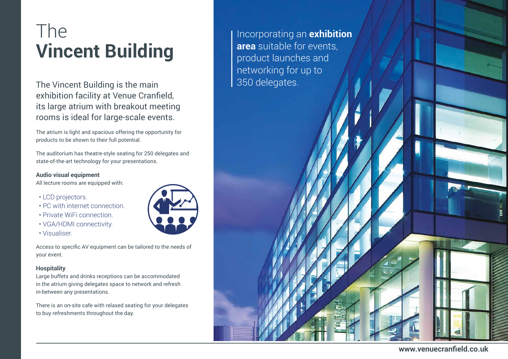# The **Vincent Building**

The Vincent Building is the main exhibition facility at Venue Cranfield, its large atrium with breakout meeting rooms is ideal for large-scale events.

The atrium is light and spacious offering the opportunity for products to be shown to their full potential.

The auditorium has theatre-style seating for 250 delegates and state-of-the-art technology for your presentations.

#### **Audio visual equipment**

All lecture rooms are equipped with:

- LCD projectors.
- PC with internet connection.
- Private WiFi connection.
- VGA/HDMI connectivity.
- Visualiser.

Access to specific AV equipment can be tailored to the needs of your event.

#### **Hospitality**

Large buffets and drinks receptions can be accommodated in the atrium giving delegates space to network and refresh in-between any presentations.

There is an on-site cafe with relaxed seating for your delegates to buy refreshments throughout the day.



Incorporating an **exhibition area** suitable for events, product launches and networking for up to 350 delegates.

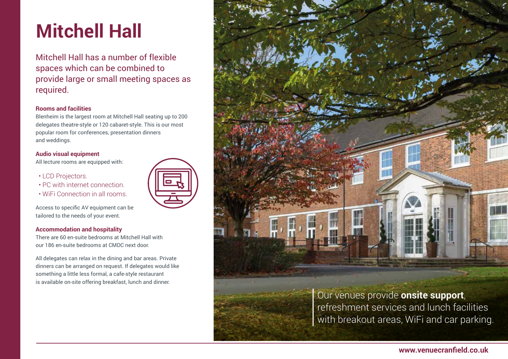# **Mitchell Hall**

Mitchell Hall has a number of flexible spaces which can be combined to provide large or small meeting spaces as required.

#### **Rooms and facilities**

Blenheim is the largest room at Mitchell Hall seating up to 200 delegates theatre-style or 120 cabaret-style. This is our most popular room for conferences, presentation dinners and weddings.

#### **Audio visual equipment**

All lecture rooms are equipped with:

- LCD Projectors.
- PC with internet connection.
- WiFi Connection in all rooms.

Access to specific AV equipment can be tailored to the needs of your event.

#### **Accommodation and hospitality**

There are 60 en-suite bedrooms at Mitchell Hall with our 186 en-suite bedrooms at CMDC next door.

All delegates can relax in the dining and bar areas. Private dinners can be arranged on request. If delegates would like something a little less formal, a cafe-style restaurant is available on-site offering breakfast, lunch and dinner.



**www.venuecranfield.co.uk**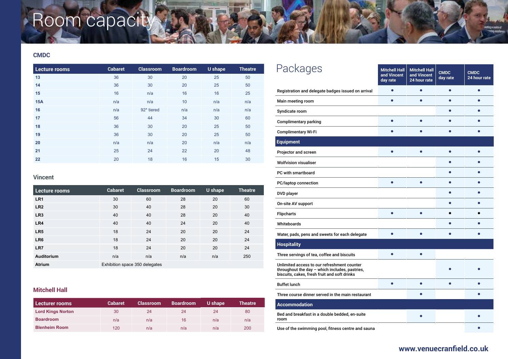# Room capacity

#### **CMDC**

| Lecture rooms | <b>Cabaret</b> | <b>Classroom</b> | <b>Boardroom</b> | U shape | <b>Theatre</b> |
|---------------|----------------|------------------|------------------|---------|----------------|
| 13            | 36             | 30               | 20               | 25      | 50             |
| 14            | 36             | 30               | 20               | 25      | 50             |
| 15            | 16             | n/a              | 16               | 16      | 25             |
| 15A           | n/a            | n/a              | 10               | n/a     | n/a            |
| 16            | n/a            | 92* tiered       | n/a              | n/a     | n/a            |
| 17            | 56             | 44               | 34               | 30      | 60             |
| 18            | 36             | 30               | 20               | 25      | 50             |
| 19            | 36             | 30               | 20               | 25      | 50             |
| 20            | n/a            | n/a              | 20               | n/a     | n/a            |
| 21            | 25             | 24               | 22               | 20      | 48             |
| 22            | 20             | 18               | 16               | 15      | 30             |

### **Vincent**

| Lecture rooms   | <b>Cabaret</b>                 | <b>Classroom</b> | <b>Boardroom</b> | U shape | <b>Theatre</b> |
|-----------------|--------------------------------|------------------|------------------|---------|----------------|
| LR <sub>1</sub> | 30                             | 60               | 28               | 20      | 60             |
| LR <sub>2</sub> | 30                             | 40               | 28               | 20      | 30             |
| LR <sub>3</sub> | 40                             | 40               | 28               | 20      | 40             |
| LR4             | 40                             | 40               | 24               | 20      | 40             |
| LR <sub>5</sub> | 18                             | 24               | 20               | 20      | 24             |
| LR <sub>6</sub> | 18                             | 24               | 20               | 20      | 24             |
| LR7             | 18                             | 24               | 20               | 20      | 24             |
| Auditorium      | n/a                            | n/a              | n/a              | n/a     | 250            |
| <b>Atrium</b>   | Exhibition space 350 delegates |                  |                  |         |                |

### **Mitchell Hall**

| Lecturer rooms           | <b>Cabaret</b> | <b>Classroom</b> | <b>Boardroom</b> | U shape | <b>Theatre</b> |
|--------------------------|----------------|------------------|------------------|---------|----------------|
| <b>Lord Kings Norton</b> | 30             | 24               | 24               | 24      | 80             |
| <b>Boardroom</b>         | n/a            | n/a              | 16               | n/a     | n/a            |
| <b>Blenheim Room</b>     | 120            | n/a              | n/a              | n/a     | 200            |

| Packages                                                                                                                                      | <b>Mitchell Hall</b><br>and Vincent<br>day rate | <b>Mitchell Hall</b><br>and Vincent<br>24 hour rate | <b>CMDC</b><br>day rate | <b>CMDC</b><br>24 hour rate |
|-----------------------------------------------------------------------------------------------------------------------------------------------|-------------------------------------------------|-----------------------------------------------------|-------------------------|-----------------------------|
| Registration and delegate badges issued on arrival                                                                                            |                                                 |                                                     | $\bullet$               | ∙                           |
| Main meeting room                                                                                                                             |                                                 |                                                     |                         |                             |
| Syndicate room                                                                                                                                |                                                 |                                                     |                         |                             |
| <b>Complimentary parking</b>                                                                                                                  |                                                 |                                                     |                         |                             |
| <b>Complimentary Wi-Fi</b>                                                                                                                    |                                                 |                                                     |                         |                             |
| <b>Equipment</b>                                                                                                                              |                                                 |                                                     |                         |                             |
| Projector and screen                                                                                                                          | ٠                                               |                                                     |                         |                             |
| <b>Wolfvision visualiser</b>                                                                                                                  |                                                 |                                                     |                         |                             |
| PC with smartboard                                                                                                                            |                                                 |                                                     |                         |                             |
| PC/laptop connection                                                                                                                          |                                                 |                                                     |                         |                             |
| DVD player                                                                                                                                    |                                                 |                                                     |                         |                             |
| On-site AV support                                                                                                                            |                                                 |                                                     |                         |                             |
| <b>Flipcharts</b>                                                                                                                             |                                                 |                                                     |                         |                             |
| Whiteboards                                                                                                                                   |                                                 |                                                     |                         |                             |
| Water, pads, pens and sweets for each delegate                                                                                                |                                                 |                                                     |                         |                             |
| <b>Hospitality</b>                                                                                                                            |                                                 |                                                     |                         |                             |
| Three servings of tea, coffee and biscuits                                                                                                    |                                                 |                                                     |                         |                             |
| Unlimited access to our refreshment counter<br>throughout the day - which includes, pastries,<br>biscuits, cakes, fresh fruit and soft drinks |                                                 |                                                     |                         |                             |
| <b>Buffet lunch</b>                                                                                                                           |                                                 |                                                     |                         |                             |
| Three course dinner served in the main restaurant                                                                                             |                                                 |                                                     |                         |                             |
| <b>Accommodation</b>                                                                                                                          |                                                 |                                                     |                         |                             |
| Bed and breakfast in a double bedded, en-suite<br>room                                                                                        |                                                 |                                                     |                         |                             |
| Use of the swimming pool, fitness centre and sauna                                                                                            |                                                 |                                                     |                         |                             |

### **www.venuecranfield.co.uk**